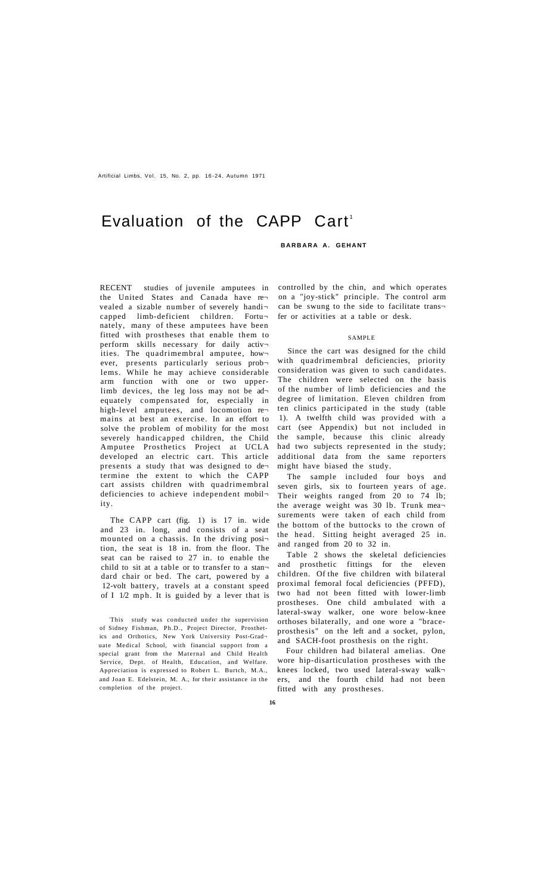Artificial Limbs, Vol. 15, No. 2, pp. 16-24 , Autumn 1971

# Evaluation of the CAPP Cart<sup>1</sup>

## **BARBARA A. GEHANT**

RECENT studies of juvenile amputees in the United States and Canada have re vealed a sizable number of severely handi capped limb-deficient children. Fortunately, many of these amputees have been fitted with prostheses that enable them to perform skills necessary for daily activ ities. The quadrimembral amputee, however, presents particularly serious prob lems. While he may achieve considerable arm function with one or two upperlimb devices, the leg loss may not be adequately compensated for, especially in high-level amputees, and locomotion re mains at best an exercise. In an effort to solve the problem of mobility for the most severely handicapped children, the Child Amputee Prosthetics Project at UCLA developed an electric cart. This article presents a study that was designed to de termine the extent to which the CAPP cart assists children with quadrimembral deficiencies to achieve independent mobil ity.

The CAPP cart (fig. 1) is 17 in. wide and 23 in. long, and consists of a seat mounted on a chassis. In the driving posi tion, the seat is 18 in. from the floor. The seat can be raised to 27 in. to enable the child to sit at a table or to transfer to a standard chair or bed. The cart, powered by a 12-volt battery, travels at a constant speed of I 1/2 mph. It is guided by a lever that is

<sup>1</sup>This study was conducted under the supervision of Sidney Fishman, Ph.D., Project Director, Prosthetics and Orthotics, New York University Post-Grad uate Medical School, with financial support from a special grant from the Maternal and Child Health Service, Dept. of Health, Education, and Welfare. Appreciation is expressed to Robert L. Burtch, M.A., and Joan E. Edelstein, M. A., for their assistance in the completion of the project.

controlled by the chin, and which operates on a "joy-stick" principle. The control arm can be swung to the side to facilitate trans fer or activities at a table or desk.

#### SAMPLE

Since the cart was designed for the child with quadrimembral deficiencies, priority consideration was given to such candidates. The children were selected on the basis of the number of limb deficiencies and the degree of limitation. Eleven children from ten clinics participated in the study (table 1). A twelfth child was provided with a cart (see Appendix) but not included in the sample, because this clinic already had two subjects represented in the study; additional data from the same reporters might have biased the study.

The sample included four boys and seven girls, six to fourteen years of age. Their weights ranged from 20 to 74 lb; the average weight was 30 lb. Trunk mea surements were taken of each child from the bottom of the buttocks to the crown of the head. Sitting height averaged 25 in. and ranged from 20 to 32 in.

Table 2 shows the skeletal deficiencies and prosthetic fittings for the eleven children. Of the five children with bilateral proximal femoral focal deficiencies (PFFD), two had not been fitted with lower-limb prostheses. One child ambulated with a lateral-sway walker, one wore below-knee orthoses bilaterally, and one wore a "braceprosthesis" on the left and a socket, pylon, and SACH-foot prosthesis on the right.

Four children had bilateral amelias. One wore hip-disarticulation prostheses with the knees locked, two used lateral-sway walk ers, and the fourth child had not been fitted with any prostheses.

**16**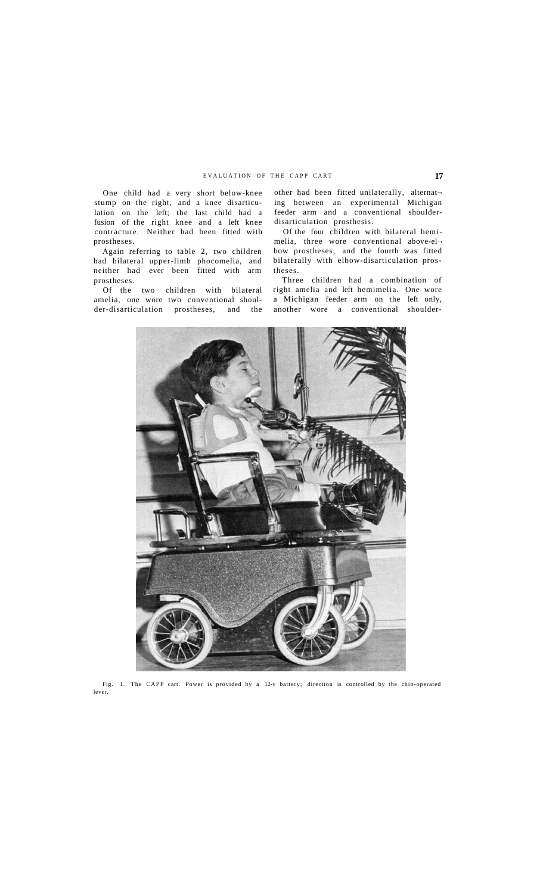One child had a very short below-knee stump on the right, and a knee disarticulation on the left; the last child had a fusion of the right knee and a left knee contracture. Neither had been fitted with prostheses.

Again referring to table 2, two children had bilateral upper-limb phocomelia, and neither had ever been fitted with arm prostheses.

Of the two children with bilateral amelia, one wore two conventional shoulder-disarticulation prostheses, and the

other had been fitted unilaterally, alternat ing between an experimental Michigan feeder arm and a conventional shoulderdisarticulation prosthesis.

Of the four children with bilateral hemimelia, three wore conventional above-el bow prostheses, and the fourth was fitted bilaterally with elbow-disarticulation prostheses.

Three children had a combination of right amelia and left hemimelia. One wore a Michigan feeder arm on the left only, another wore a conventional shoulder-



Fig. 1. The CAPP cart. Power is provided by a 12-v battery; direction is controlled by the chin-operated lever.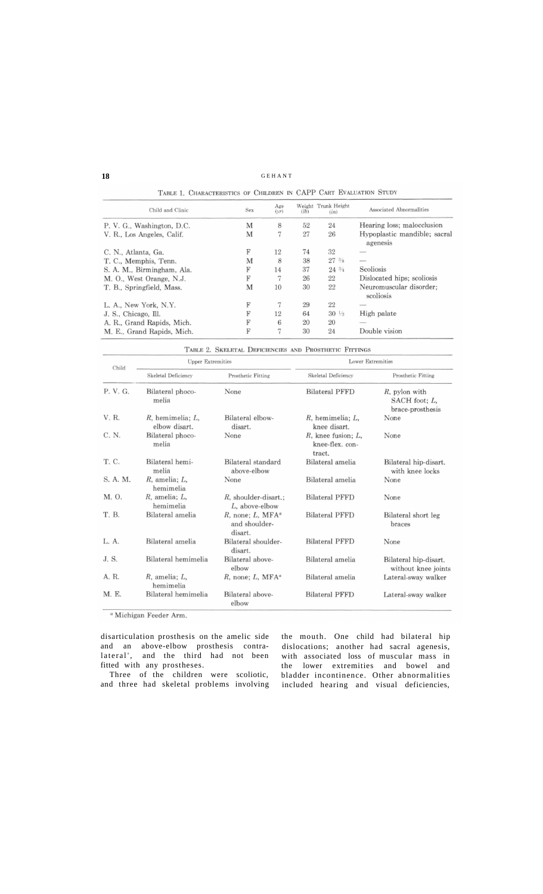## **18 GEHANT**

|                            | TABLE 1. CHARACTERISTICS OF CHILDREN IN CAPP CART EVALUATION STUDY |             |      |                             |                                          |
|----------------------------|--------------------------------------------------------------------|-------------|------|-----------------------------|------------------------------------------|
| Child and Clinic           | Sex                                                                | Age<br>(vr) | (lb) | Weight Trunk Height<br>(in) | Associated Abnormalities                 |
| P. V. G., Washington, D.C. | M                                                                  | 8           | 52   | 24                          | Hearing loss; malocclusion               |
| V. R., Los Angeles, Calif. | M                                                                  | 7           | 27   | 26                          | Hypoplastic mandible; sacral<br>agenesis |
| C. N., Atlanta, Ga.        | F                                                                  | 12          | 74   | 32                          |                                          |
| T. C., Memphis, Tenn.      | M                                                                  | 8           | 38   | $27^{3}/8$                  |                                          |
| S. A. M., Birmingham, Ala. | F                                                                  | 14          | 37   | $24^{3/4}$                  | Scoliosis                                |
| M. O., West Orange, N.J.   | F                                                                  |             | 26   | 22                          | Dislocated hips; scoliosis               |
| T. B., Springfield, Mass.  | M                                                                  | 10          | 30   | 22                          | Neuromuscular disorder:<br>scoliosis     |
| L. A., New York, N.Y.      | F                                                                  |             | 29   | 22                          |                                          |
| J. S., Chicago, Ill.       | F                                                                  | 12          | 64   | $30\frac{1}{2}$             | High palate                              |
| A. R., Grand Rapids, Mich. | F                                                                  | 6           | 20   | 20                          |                                          |
| M. E., Grand Rapids, Mich. | F                                                                  | 7           | 30   | 24                          | Double vision                            |

|  | TABLE 2. SKELETAL DEFICIENCIES AND PROSTHETIC FITTINGS |  |  |
|--|--------------------------------------------------------|--|--|
|  |                                                        |  |  |

| Child    | <b>Upper Extremities</b>                |                                                                             | <b>Lower Extremities</b>                             |                                                    |
|----------|-----------------------------------------|-----------------------------------------------------------------------------|------------------------------------------------------|----------------------------------------------------|
|          | Skeletal Deficiency                     | Prosthetic Fitting                                                          | Skeletal Deficiency                                  | Prosthetic Fitting                                 |
| P. V. G. | Bilateral phoco-<br>melia               | None                                                                        | <b>Bilateral PFFD</b>                                | R, pylon with<br>SACH foot; L,<br>brace-prosthesis |
| V. R.    | $R$ , hemimelia; $L$ ,<br>elbow disart. | Bilateral elbow-<br>disart.                                                 | $R$ , hemimelia; $L$ ,<br>knee disart.               | None                                               |
| C. N.    | Bilateral phoco-<br>melia               | None                                                                        | $R$ , knee fusion; $L$ ,<br>knee-flex.con-<br>tract. | None                                               |
| T. C.    | Bilateral hemi-<br>melia                | Bilateral standard<br>above-elbow                                           | Bilateral amelia                                     | Bilateral hip-disart.<br>with knee locks           |
| S. A. M. | $R$ , amelia; $L$ ,<br>hemimelia        | None                                                                        | Bilateral amelia                                     | None                                               |
| M. O.    | $R$ , amelia; $L$ ,<br>hemimelia        | $R$ , shoulder-disart.;<br>L, above-elbow                                   | <b>Bilateral PFFD</b>                                | None                                               |
| T. B.    | Bilateral amelia                        | $R$ , none; $L$ , MFA <sup><math>a</math></sup><br>and shoulder-<br>disart. | <b>Bilateral PFFD</b>                                | Bilateral short leg<br>braces                      |
| L. A.    | Bilateral amelia                        | Bilateral shoulder-<br>disart.                                              | <b>Bilateral PFFD</b>                                | None                                               |
| J.S.     | Bilateral hemimelia                     | Bilateral above-<br>elbow                                                   | Bilateral amelia                                     | Bilateral hip-disart.<br>without knee joints       |
| A. R.    | $R$ , amelia; $L$ ,<br>hemimelia        | $R$ , none; $L$ , MFA <sup><math>a</math></sup>                             | Bilateral amelia                                     | Lateral-sway walker                                |
| M. E.    | Bilateral hemimelia                     | Bilateral above-<br>elbow                                                   | <b>Bilateral PFFD</b>                                | Lateral-sway walker                                |

<sup>a</sup> Michigan Feeder Arm.

disarticulation prosthesis on the amelic side the mouth. One child had bilateral hip and an above-elbow prosthesis contralateral<sup>\*</sup>, and the third had not been fitted with any prostheses.

Three of the children were scoliotic, and three had skeletal problems involving

dislocations; another had sacral agenesis, with associated loss of muscular mass in the lower extremities and bowel and bladder incontinence. Other abnormalities included hearing and visual deficiencies,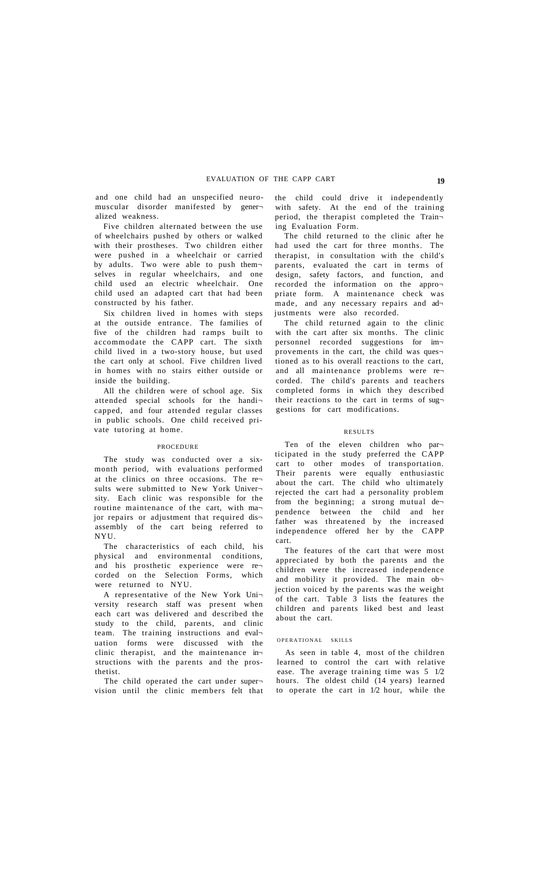and one child had an unspecified neuromuscular disorder manifested by gener alized weakness.

Five children alternated between the use of wheelchairs pushed by others or walked with their prostheses. Two children either were pushed in a wheelchair or carried by adults. Two were able to push themselves in regular wheelchairs, and one child used an electric wheelchair. One child used an adapted cart that had been constructed by his father.

Six children lived in homes with steps at the outside entrance. The families of five of the children had ramps built to accommodate the CAPP cart. The sixth child lived in a two-story house, but used the cart only at school. Five children lived in homes with no stairs either outside or inside the building.

All the children were of school age. Six attended special schools for the handi $\neg$ capped, and four attended regular classes in public schools. One child received private tutoring at home.

#### PROCEDURE

The study was conducted over a sixmonth period, with evaluations performed at the clinics on three occasions. The re sults were submitted to New York University. Each clinic was responsible for the routine maintenance of the cart, with ma jor repairs or adjustment that required disassembly of the cart being referred to NYU.

The characteristics of each child, his physical and environmental conditions, and his prosthetic experience were re corded on the Selection Forms, which were returned to NYU.

A representative of the New York Uni versity research staff was present when each cart was delivered and described the study to the child, parents, and clinic team. The training instructions and eval uation forms were discussed with the clinic therapist, and the maintenance in structions with the parents and the prosthetist.

The child operated the cart under super vision until the clinic members felt that the child could drive it independently with safety. At the end of the training period, the therapist completed the Train ing Evaluation Form.

The child returned to the clinic after he had used the cart for three months. The therapist, in consultation with the child's parents, evaluated the cart in terms of design, safety factors, and function, and recorded the information on the appro priate form. A maintenance check was made, and any necessary repairs and ad justments were also recorded.

The child returned again to the clinic with the cart after six months. The clinic personnel recorded suggestions for im provements in the cart, the child was ques tioned as to his overall reactions to the cart, and all maintenance problems were re corded. The child's parents and teachers completed forms in which they described their reactions to the cart in terms of suggestions for cart modifications.

## RESULTS

Ten of the eleven children who par ticipated in the study preferred the CAPP cart to other modes of transportation. Their parents were equally enthusiastic about the cart. The child who ultimately rejected the cart had a personality problem from the beginning; a strong mutual de pendence between the child and her father was threatened by the increased independence offered her by the CAPP cart.

The features of the cart that were most appreciated by both the parents and the children were the increased independence and mobility it provided. The main ob jection voiced by the parents was the weight of the cart. Table 3 lists the features the children and parents liked best and least about the cart.

#### OPERATIONAL SKILLS

As seen in table 4, most of the children learned to control the cart with relative ease. The average training time was 5 1/2 hours. The oldest child (14 years) learned to operate the cart in 1/2 hour, while the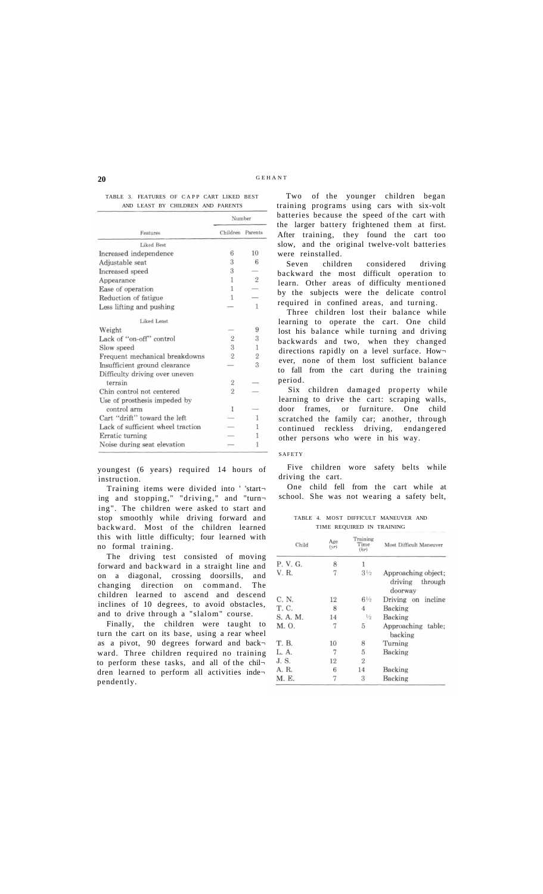## **20** GEHAN <sup>T</sup>

## TABLE 3. FEATURES OF CAPP CART LIKED BEST AND LEAST BY CHILDREN AND PARENTS

|                                   | Number           |                |
|-----------------------------------|------------------|----------------|
| Features                          | Children Parents |                |
| Liked Best                        |                  |                |
| Increased independence            | 6                | 10             |
| Adjustable seat                   | 3                | 6              |
| Increased speed                   | 3                |                |
| Appearance                        | 1                | $\overline{2}$ |
| Ease of operation                 | 1                |                |
| Reduction of fatigue              | 1                |                |
| Less lifting and pushing          |                  | 1              |
| Liked Least                       |                  |                |
| Weight                            |                  | 9              |
| Lack of "on-off" control          | $\overline{2}$   | 3              |
| Slow speed                        | 3                | 1              |
| Frequent mechanical breakdowns    | $\overline{2}$   | $\overline{2}$ |
| Insufficient ground clearance     |                  | 3              |
| Difficulty driving over uneven    |                  |                |
| terrain                           | $\overline{2}$   |                |
| Chin control not centered         | $\overline{2}$   |                |
| Use of prosthesis impeded by      |                  |                |
| control arm                       | 1                |                |
| Cart "drift" toward the left      |                  | 1              |
| Lack of sufficient wheel traction |                  | 1              |
| Erratic turning                   |                  | 1              |
| Noise during seat elevation       |                  | 1              |

youngest (6 years) required 14 hours of instruction.

Training items were divided into ' 'start ing and stopping," "driving," and "turn ing". The children were asked to start and stop smoothly while driving forward and backward. Most of the children learned this with little difficulty; four learned with no formal training.

The driving test consisted of moving forward and backward in a straight line and on a diagonal, crossing doorsills, and changing direction on command. The children learned to ascend and descend inclines of 10 degrees, to avoid obstacles, and to drive through a "slalom" course.

Finally, the children were taught to turn the cart on its base, using a rear wheel as a pivot, 90 degrees forward and backward. Three children required no training to perform these tasks, and all of the chil dren learned to perform all activities inde pendently.

Two of the younger children began training programs using cars with six-volt batteries because the speed of the cart with the larger battery frightened them at first. After training, they found the cart too slow, and the original twelve-volt batteries were reinstalled.

Seven children considered driving backward the most difficult operation to learn. Other areas of difficulty mentioned by the subjects were the delicate control required in confined areas, and turning.

Three children lost their balance while learning to operate the cart. One child lost his balance while turning and driving backwards and two, when they changed directions rapidly on a level surface. How ever, none of them lost sufficient balance to fall from the cart during the training period.

Six children damaged property while learning to drive the cart: scraping walls, door frames, or furniture. One child scratched the family car; another, through continued reckless driving, endangered other persons who were in his way.

## SAFETY

Five children wore safety belts while driving the cart.

One child fell from the cart while at school. She was not wearing a safety belt,

TABLE 4. MOST DIFFICULT MANEUVER AND TIME REQUIRED IN TRAINING

| Child    | Age<br>(vr) | Training<br>Time<br>(hr) | Most Difficult Maneuver                              |
|----------|-------------|--------------------------|------------------------------------------------------|
| P. V. G. | 8           | 1                        |                                                      |
| V. R.    | 7           | $3\frac{1}{2}$           | Approaching object;<br>through<br>driving<br>doorway |
| C. N.    | 12          | $6\frac{1}{2}$           | Driving on incline                                   |
| T. C.    | 8           | 4                        | Backing                                              |
| S. A. M. | 14          | $\frac{1}{2}$            | Backing                                              |
| M. O.    | 7           | 5                        | Approaching table;<br>backing                        |
| T. B.    | 10          | 8                        | Turning                                              |
| L. A.    | 7           | 5                        | Backing                                              |
| J.S.     | 12          | $\overline{2}$           |                                                      |
| A. R.    | 6           | 14                       | Backing                                              |
| M. E.    | 7           | 3                        | Backing                                              |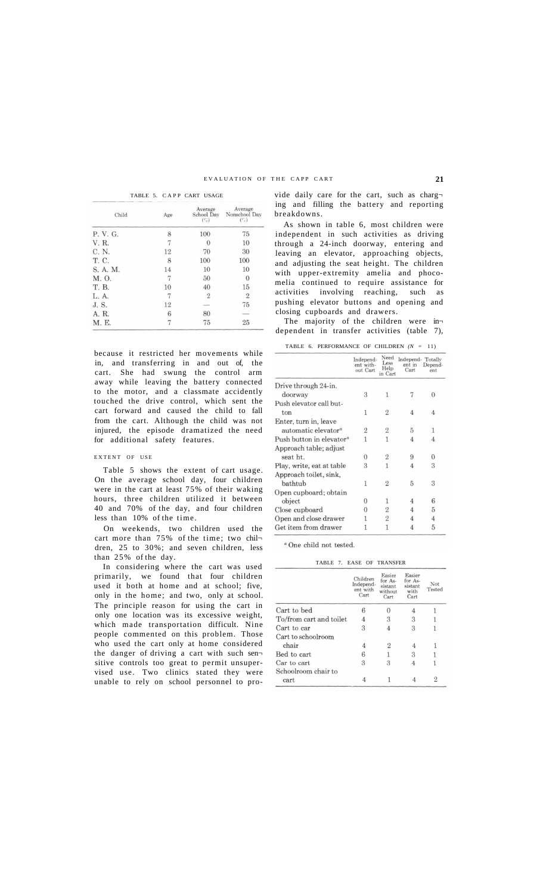TABLE 5. CAPP CART USAGE

| Child    | Age | Average<br>School Day<br>$(\mathcal{C}_c)$ | Average<br>Nonschool Day<br>$(\mathcal{C}_c)$ |
|----------|-----|--------------------------------------------|-----------------------------------------------|
| P. V. G. | 8   | 100                                        | 75                                            |
| V. R.    | 7   | $\Omega$                                   | 10                                            |
| C. N.    | 12  | 70                                         | 30                                            |
| T. C.    | 8   | 100                                        | 100                                           |
| S. A. M. | 14  | 10                                         | 10                                            |
| M. O.    | 7   | 50                                         | $\theta$                                      |
| T. B.    | 10  | 40                                         | 15                                            |
| L. A.    | 7   | $\overline{2}$                             | $\overline{2}$                                |
| J.S.     | 12  |                                            | 75                                            |
| A. R.    | 6   | 80                                         |                                               |
| M. E.    |     | 75                                         | 25                                            |

because it restricted her movements while in, and transferring in and out of, the cart. She had swung the control arm away while leaving the battery connected to the motor, and a classmate accidently touched the drive control, which sent the cart forward and caused the child to fall from the cart. Although the child was not injured, the episode dramatized the need for additional safety features.

## EXTENT OF USE

Table 5 shows the extent of cart usage. On the average school day, four children were in the cart at least 75% of their waking hours, three children utilized it between 40 and 70% of the day, and four children less than 10% of the time.

On weekends, two children used the cart more than 75% of the time; two children, 25 to 30%; and seven children, less than 25% of the day.

In considering where the cart was used primarily, we found that four children used it both at home and at school; five, only in the home; and two, only at school. The principle reason for using the cart in only one location was its excessive weight, which made transportation difficult. Nine people commented on this problem. Those who used the cart only at home considered the danger of driving a cart with such sen sitive controls too great to permit unsupervised use. Two clinics stated they were unable to rely on school personnel to provide daily care for the cart, such as charging and filling the battery and reporting breakdowns.

As shown in table 6, most children were independent in such activities as driving through a 24-inch doorway, entering and leaving an elevator, approaching objects, and adjusting the seat height. The children with upper-extremity amelia and phocomelia continued to require assistance for activities involving reaching, such as pushing elevator buttons and opening and closing cupboards and drawers.

The majority of the children were in dependent in transfer activities (table 7),

TABLE 6. PERFORMANCE OF CHILDREN *(N =* 11)

|                                      | Independ-<br>ent with-<br>out Cart | Need<br>Less<br>Help<br>in Cart | Independ-Totally<br>ent in<br>Cart | Depend-<br>ent. |
|--------------------------------------|------------------------------------|---------------------------------|------------------------------------|-----------------|
| Drive through 24-in.                 |                                    |                                 |                                    |                 |
| doorway                              | 3                                  | 1                               |                                    | 0               |
| Push elevator call but-              |                                    |                                 |                                    |                 |
| ton                                  | 1                                  | $\overline{2}$                  | 4                                  | 4               |
| Enter, turn in, leave                |                                    |                                 |                                    |                 |
| automatic elevator <sup>a</sup>      | $\overline{2}$                     | $\overline{2}$                  | 5                                  | 1               |
| Push button in elevator <sup>a</sup> | 1                                  | 1                               | 4                                  | 4               |
| Approach table; adjust               |                                    |                                 |                                    |                 |
| seat ht.                             | $\Omega$                           | $\overline{2}$                  | 9                                  | $\Omega$        |
| Play, write, eat at table            | 3                                  | $\mathbf{1}$                    | 4                                  | 3               |
| Approach toilet, sink.               |                                    |                                 |                                    |                 |
| bathtub                              | 1                                  | 2                               | 5                                  | 3               |
| Open cupboard; obtain                |                                    |                                 |                                    |                 |
| object                               | $\Omega$                           | 1                               | 4                                  | 6               |
| Close cupboard                       |                                    | $\overline{2}$                  | 4                                  | 5               |
| Open and close drawer                |                                    | $\overline{2}$                  | 4                                  | 4               |
| Get item from drawer                 |                                    |                                 |                                    | 5               |

 $\emph{^a}$  One child not tested.

| TABLE 7. EASE OF TRANSFER |                                           |                                                 |                                              |               |
|---------------------------|-------------------------------------------|-------------------------------------------------|----------------------------------------------|---------------|
|                           | Children<br>Independ-<br>ent with<br>Cart | Easier<br>for As-<br>sistant<br>without<br>Cart | Easier<br>for As-<br>sistant<br>with<br>Cart | Not<br>Tested |
| Cart to bed               | 6                                         |                                                 |                                              |               |
| To/from cart and toilet   | 4                                         | 3                                               | 3                                            |               |
| Cart to car               | 3                                         |                                                 | 3                                            |               |
| Cart to schoolroom        |                                           |                                                 |                                              |               |
| chair                     | 4                                         | 2                                               |                                              |               |
| Bed to cart               | 6                                         |                                                 | 3                                            |               |
| Car to cart               | 3                                         | 3                                               |                                              |               |
| Schoolroom chair to       |                                           |                                                 |                                              |               |
| cart                      |                                           |                                                 |                                              | 2             |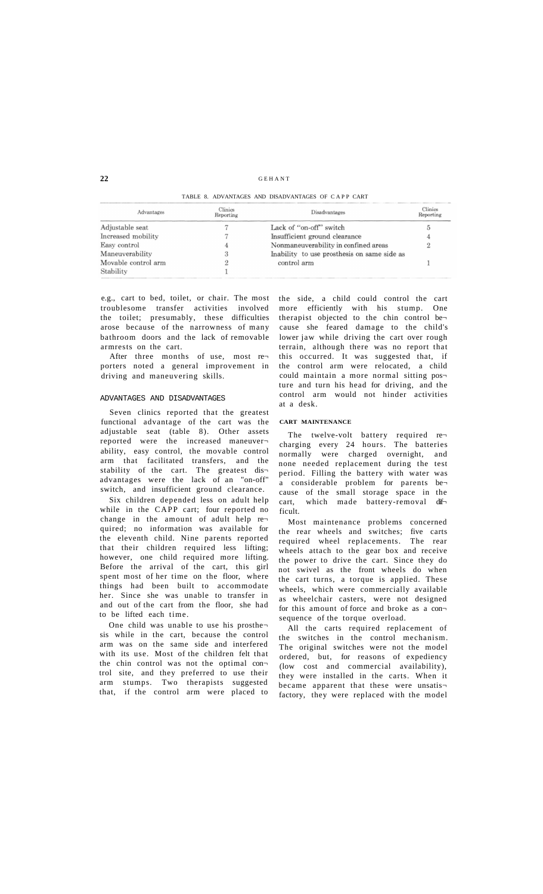### GEHAN T

## TABLE 8. ADVANTAGES AND DISADVANTAGES OF CAPP CART

| Advantages          | Clinics<br>Reporting | Disadvantages                               | Clinics<br>Reporting |
|---------------------|----------------------|---------------------------------------------|----------------------|
| Adjustable seat     |                      | Lack of "on-off" switch                     | G                    |
| Increased mobility  |                      | Insufficient ground clearance               |                      |
| Easy control        |                      | Nonmaneuverability in confined areas        | 2                    |
| Maneuverability     |                      | Inability to use prosthesis on same side as |                      |
| Movable control arm |                      | control arm                                 |                      |
| Stability           |                      |                                             |                      |

e.g., cart to bed, toilet, or chair. The most troublesome transfer activities involved the toilet; presumably, these difficulties arose because of the narrowness of many bathroom doors and the lack of removable armrests on the cart.

After three months of use, most re porters noted a general improvement in driving and maneuvering skills.

#### ADVANTAGES AND DISADVANTAGES

Seven clinics reported that the greatest functional advantage of the cart was the adjustable seat (table 8). Other assets reported were the increased maneuver ability, easy control, the movable control arm that facilitated transfers, and the stability of the cart. The greatest dis advantages were the lack of an "on-off" switch, and insufficient ground clearance.

Six children depended less on adult help while in the CAPP cart; four reported no change in the amount of adult help re quired; no information was available for the eleventh child. Nine parents reported that their children required less lifting; however, one child required more lifting. Before the arrival of the cart, this girl spent most of her time on the floor, where things had been built to accommodate her. Since she was unable to transfer in and out of the cart from the floor, she had to be lifted each time.

One child was unable to use his prosthesis while in the cart, because the control arm was on the same side and interfered with its use. Most of the children felt that the chin control was not the optimal con trol site, and they preferred to use their arm stumps. Two therapists suggested that, if the control arm were placed to the side, a child could control the cart more efficiently with his stump. One therapist objected to the chin control be cause she feared damage to the child's lower jaw while driving the cart over rough terrain, although there was no report that this occurred. It was suggested that, if the control arm were relocated, a child could maintain a more normal sitting pos ture and turn his head for driving, and the control arm would not hinder activities at a desk.

#### **CART MAINTENANCE**

The twelve-volt battery required re charging every 24 hours. The batteries normally were charged overnight, and none needed replacement during the test period. Filling the battery with water was a considerable problem for parents be cause of the small storage space in the cart, which made battery-removal dif ficult.

Most maintenance problems concerned the rear wheels and switches; five carts required wheel replacements. The rear wheels attach to the gear box and receive the power to drive the cart. Since they do not swivel as the front wheels do when the cart turns, a torque is applied. These wheels, which were commercially available as wheelchair casters, were not designed for this amount of force and broke as a con sequence of the torque overload.

All the carts required replacement of the switches in the control mechanism. The original switches were not the model ordered, but, for reasons of expediency (low cost and commercial availability), they were installed in the carts. When it became apparent that these were unsatisfactory, they were replaced with the model

**22**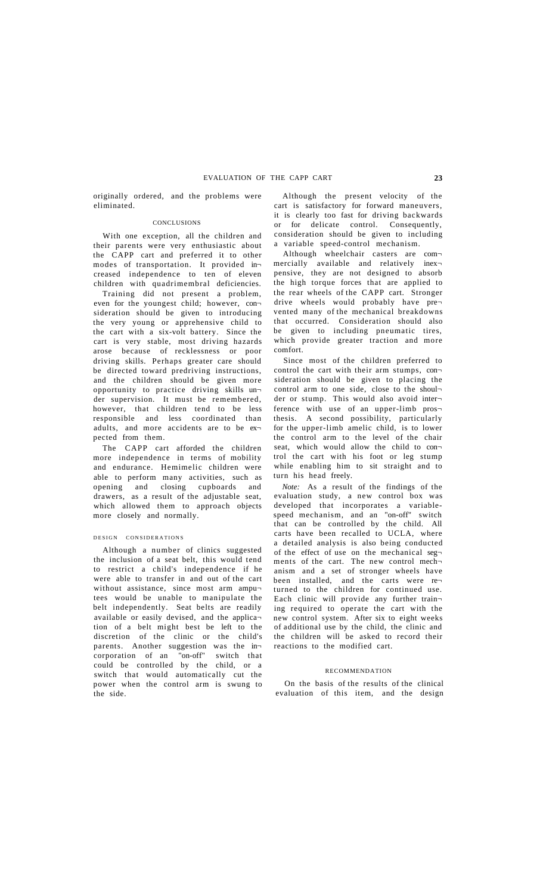originally ordered, and the problems were eliminated.

#### CONCLUSIONS

With one exception, all the children and their parents were very enthusiastic about the CAPP cart and preferred it to other modes of transportation. It provided in creased independence to ten of eleven children with quadrimembral deficiencies.

Training did not present a problem, even for the youngest child; however, con sideration should be given to introducing the very young or apprehensive child to the cart with a six-volt battery. Since the cart is very stable, most driving hazards arose because of recklessness or poor driving skills. Perhaps greater care should be directed toward predriving instructions, and the children should be given more opportunity to practice driving skills un der supervision. It must be remembered, however, that children tend to be less responsible and less coordinated than adults, and more accidents are to be ex pected from them.

The CAPP cart afforded the children more independence in terms of mobility and endurance. Hemimelic children were able to perform many activities, such as opening and closing cupboards and drawers, as a result of the adjustable seat, which allowed them to approach objects more closely and normally.

## DESIGN CONSIDERATIONS

Although a number of clinics suggested the inclusion of a seat belt, this would tend to restrict a child's independence if he were able to transfer in and out of the cart without assistance, since most arm amputees would be unable to manipulate the belt independently. Seat belts are readily available or easily devised, and the applica tion of a belt might best be left to the discretion of the clinic or the child's parents. Another suggestion was the in-<br>corporation of an "on-off" switch that "on-off" switch that could be controlled by the child, or a switch that would automatically cut the power when the control arm is swung to the side.

Although the present velocity of the cart is satisfactory for forward maneuvers, it is clearly too fast for driving backwards or for delicate control. Consequently, consideration should be given to including a variable speed-control mechanism.

Although wheelchair casters are com mercially available and relatively inex pensive, they are not designed to absorb the high torque forces that are applied to the rear wheels of the CAPP cart. Stronger drive wheels would probably have pre vented many of the mechanical breakdowns that occurred. Consideration should also be given to including pneumatic tires, which provide greater traction and more comfort.

Since most of the children preferred to control the cart with their arm stumps, consideration should be given to placing the control arm to one side, close to the shoul der or stump. This would also avoid inter ference with use of an upper-limb prosthesis. A second possibility, particularly for the upper-limb amelic child, is to lower the control arm to the level of the chair seat, which would allow the child to control the cart with his foot or leg stump while enabling him to sit straight and to turn his head freely.

*Note:* As a result of the findings of the evaluation study, a new control box was developed that incorporates a variablespeed mechanism, and an "on-off" switch that can be controlled by the child. All carts have been recalled to UCLA, where a detailed analysis is also being conducted of the effect of use on the mechanical segments of the cart. The new control mech anism and a set of stronger wheels have been installed, and the carts were re turned to the children for continued use. Each clinic will provide any further train ing required to operate the cart with the new control system. After six to eight weeks of additional use by the child, the clinic and the children will be asked to record their reactions to the modified cart.

## RECOMMENDATION

On the basis of the results of the clinical evaluation of this item, and the design